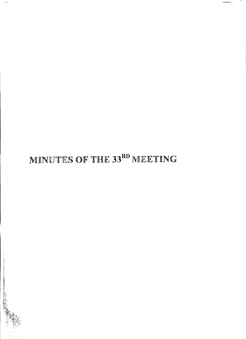# MINUTES OF THE 33RD MEETING

医自动原子 医皮肤病 医腹膜膜 医腹膜 医阿拉伯氏试验检尿道检查检尿道检查检尿道检查检尿道检尿道检尿道检尿道 医心包炎 医心包炎 医心包炎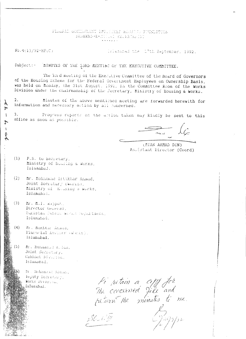## PEDERAL GOVILERENT EMPLOYEES ROBELPS FOUNDATION SHAHEED-E-MILLAT SECRETARIAT

 $No.4(1)/92-HF(C)$ 

 $\gamma$ 

Z  $\mathbf{I}$ 

 $\mathcal{T}$ 

 $\mathbf{I}$ ot Islamarad the 17th September, 1992.

 $Subject:-$ HINUTES OF THE SSRD MEETING OF THE EXECUTIVE COMMITTEE.

The 33rd meeting of the Executive Committee of the Board of Governors of the Housing Scheme for the Federal Government Employees on Ownership Basis, was held on honday, the 31st August, 1992, in the Committee Room of the Works Division under the chairmanship of the Secretary, Ministry of Housing & Works.

Minutes of the above mentioned meeting are forwarded herewith for information and necessary action by all concerned.

Progress reports on the attion taken may kindly be sent to this office as soon as possible.

 $\overline{\mathcal{L}}$ 

(MIAN AHMAD DIN) Assistant Director (Coord)

- $(1)$ P.S. to Secretary, Ministry of Housing & Works, Islamabdd.
- $(2)$ fir. Mohammad Iftikhar Annad, Joint Secretary (Worns), Ministry of Housing & Works. Islamabad.
- $(3)$ Mr. M.I. Rajput. Director General, Pakistan Pubilo Werks Repartment, Islamabad.
- $(4)$ M. Mukhtar Athena, Financial Adviser (while). Islamabad.
- $\hbar\mathbf{r}$  . <br> Durammad  $L$  , i.e.,  $(5)$ Joint Secretary, Cabinet Divarion. Islamanad.

m . Hohammad Kinan, beputy Secretion y. Works Division, Islamahad.

Pi retain a copy fir<br>The correred file and<br>petien the minutes to me.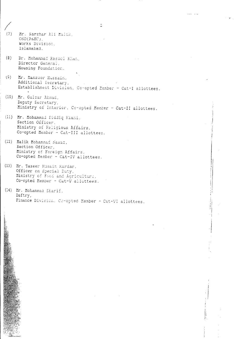- $(7)$ Mr. Sarshar Ali Malik, OSD(P&EC), Works Division. Islamabad.
- $(\theta)$ Dr. Mohammad Rasocl Khan. Director General, Housing Foundation.
- $(9)$ Mr. Manzoor Hussain, Additional Secretary, Establishment Division, Co-opted Member - Cat-I allottees.

 $\hat{\mathbb{Z}}$ 

- (10) Mr. Gulzar Ahmad, Deputy Secretary, Ministry of Interior, Co-opted Member - Cat-II allottees.
- (11) Mr. Mohammad Siddiq Kiani, Section Officer. Ministry of Religious Affairs, Co-opted Member - Cat-III allottees.
- (12) Malik Mohammad Hawaz, Section Officer, Ministry of Foreign Affairs, Co-opted Member - Cat-IV allottees.
- (13) Mr. Taseer Husain Kardar, Officer on Special Duty, Ministry of Food and Agriculture, Co-opted Member - Cat-V allottees.
- (14) Mr. Mohammad Sharif, Daftry, Finance Division, Co-opted Member - Cat-VI allottees.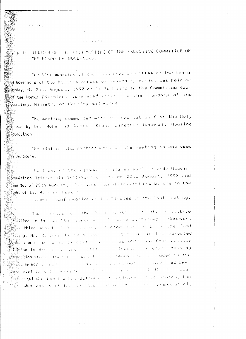$\label{eq:2.1} \mathcal{L}_{\mathcal{A}}(\mathcal{A}) = \mathcal{L}_{\mathcal{A}}(\mathcal{A}) = \mathcal{L}_{\mathcal{A}}(\mathcal{A}) = 0.$ Perentian  $\label{eq:2.1} \mathcal{L}(\mathcal{A}) = \mathcal{L}(\mathcal{A}) = \mathcal{L}(\mathcal{A})$ 

MINUTES OF THE 33RD MEETING OF THE EXECUTIVE COMMITTEE OF Bigu tin m THE BOARD OF GUVERNUMS.

The 30nd meeting of the userative Committee of the Board of Governors of the Houserty Scheme of Dwnership Basis, was held on **Monday, the 31st August, 1992 at 14.30 hours in the Committee Room**  $\mathbb{R}^n$  the Works Division, is amapad upper the chairmanship of the Secretary, Ministry of Housing and works.

The meeting commenced with the recitation from the Holy  $\mathbb{R}^2$ . Whean by Dr. Mohammad Rascol Khan, Director General, Housing ે...<br>સંસ્થાત**ો** 

The list of the participants of the meeting is enclosed  $\partial\mathcal{S}$ . **Was Annexure.** 

The items of the agenda conducted eachier vide Housing  $\mathbb{R}$  4. **Moundation let**ters No.4(1)/92-4m (U cated 22.a August, 1992 and  $\mathbb{R}^n$  an No. of 25th August, 1992 were mean discussed and by one in the  $\mathbb{R}$  ight of the Worlding Papers.

Item-i Confirmation of the Minutes of the last meeting.

The conduction of the Reset (eastling of the Exacutive : 243 J Monit**tee** held on 4th heardary, isla were confirmed. However, ※ Au<mark>khta</mark>n Asmud, f.A. (Works) : "hted but frut in the last 器對的g, Mr. Manchus Hubbain wash in worstice alous the co-opted  $\mathbb{R}^{35}_{\geq 0}$  and that a legal educies we to be obtained from Justice  $\mathbb{Z}[\mathbb{Z}[\mathbb{Z}^2]$  ion to determine the instance that a serie overlead. Housing ∰∭dd%**ion** stated Dult this point room ready been included in the spredicted to all commutings the first problem - hoth obe taaml  $\frac{1}{2}$  )  $\frac{1}{2}$  (of the Nousing Paradation) of Cogistral of Companies, the Measonna<mark>dum and</mark> Articles of Adonnesian and Sean Canter of Epperated),

護業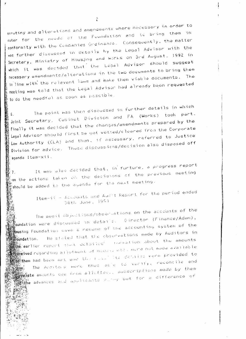scrutiny and alterations and amendments where necessary in order to cater for the needs of the Foundation and to bring them in conformity with the Companies Ordinance. Consequently, the matter was funther discussed in details by the Legal Advisor with the Secretary, Ministry of Housjng and Works on 3rd August, 1992 in which it was decided that the Legal Advisor should suggest necessary amendments/alterations in the two documents to bring them in line with the relevant laws and make them viable documents. meeting was told that the Legal Advisor had already been requested to do the needful as soon as possible.

The point was then discussed in further details in which Joint Secretary, Cabinet Division and FA (Works) took part. finally it was decided that the changes/amendments prepared by the legal Advison should first be got vetted/cleared from the Componate Law Authority (CLA) and then, if necessary, referred to Justice Division for advice. These discussions/decision also disposed off agenda Item-xii.

It was also decided that, in funture, a progress report on the actions taken on the decisions of the previous meeting should be added to the agenda for the next meeting.

Item-ii - Accounts and Audit Report for the period ended 30th June, 1991

The audit objections/obsertations on the accounts of the oundation were discussed in details. Director (Finance/Admn), Mousing Foundation dave a resume of the accounting system of the<br>Mar **Moundation.** He stated that the observations made by Auditors in **Many**<br>Mangearlier report that defailed's forabtion about the amounts The Auditors were thus sale to venity, recondite and subscriptions when alletted. subscriptions made by them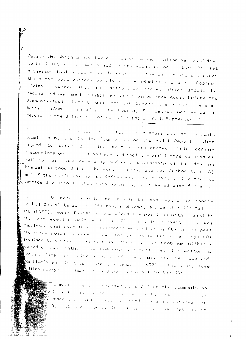Rs.2.2 (M) which on further efforts on reconciliation narrowed down to Rs.1.185 (M) do mentioned in the Audit Report. 0.6. Pak PWD suggested that a dead-line to concencile the difference and clear the audit observations be given. FA (Works) and J.S., Cabinet Division opined that the difference stated above should be reconciled and audit objections got cleared from Audit before the Accounts/Audit Report were brought before the Annual General Meeting (AGM). Finally, the Housing Foundation was asked to recondile the difference of Rs.1.185 (m) by 20th September, 1992.

9. The Committee wier fock up discussions on comments submitted by the Housing Epundation on the Audit Report. With regard to paras 2.1, the meeting reiterated their earlier discussions on Item-rii and advised that the audit observations as well as reference regarding ordinary membership of the Housing  $\tilde{\phantom{a}}$  foundation should timst be sent to Componate Law Authority (CLA) and if the Audit was not satisfied with the ruling of CLA then to  $\overline{\mathcal{N}}$  Justice Division so that this point may be cleared once for all.

 $10.$ On para 2.6 which deals with the observation on shortfall of CDA plots due to affectees problems, Mr. Sanshar Ali Malik, OSD (P&EC), Works Division, eaclained the position with regard to the last meeting held with the CJA in this respect. It was disclosed that even though assumance were given by CDA in the past the issue nematrical annesotyce, though the Member (Planning) CDA promised to do something to solve the affectees problems within a period of two months. The Chairman absenved that this matter is hanging fine for quite a long time and may now be nesolved positively within this menth (September, 1992), otherwise, some written reply/commitment should be islamied from the CDA.

> The meeting also discussed para 2.7 of the comments on en<br>Bapart, with regard to not a siven by the Thoume lax  $\mathfrak k$  under Section-0 which we applicable to turnover of D.G. Housing Foundation states that the returns on

 $\widehat{\mathbb{C}}$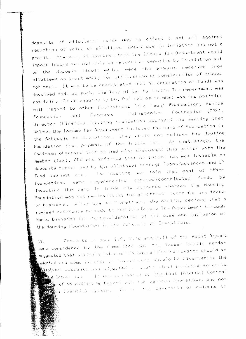deposits of allottees' money was in effect a set off against reduction of value of allottees' money due to inflation and not a profit. However, it appeared that the Income Tax Department would impose income takingt only on returns on deposits by Foundation but on the deposit itself which were the amounts received from allottees as trust money for utilization on construction of houses for them. It was to be appreciated that no generation of funds was involved and, as such, the levy of tax by Income Tax Department was not fair. On an enquiry by DG, Pal PWD as to what was the position with regard to other Foundations like fauji Foundation, Police Foundation and Overscas Pakistanies Foundation (OPF), Director (Finance), Housing Foundation apprised the meeting that unless the Income Tax Department inclused the name of Foundation in the Schedule of Exemptions, they would not relieve the Housing Foundation from payment of the Triome Tax. At that stage, the Chairman observed that he had also discussed this matter with the Member (Tax), CDR who informed that no Income Tax was leviable on deposits subscribed by the allottees through loans/advances and GP Fund savings ato. The meeting was told that most of other Foundations were regenerating consted/contributed funds  $b$  y investing the same in trade and cummerce whereas the Housing Foundation was not re-investing the allottees' funds for any trade or business. After due deliberations, the meeting decided that a revised reference be made to the CEN/Income Tax Depertment through Works Division for re-consideration of the case and inclusion of the Housing Foundation in the Schemate of Exemptions.

Comments on para 2.9, 2.10 and 2.11 of the Audit Report  $12<sub>1</sub>$ were considered by the Committee and Mr. Taseer Husain Kardar suggested that a simple interval fiture isl Control System should be adopted and some meturns we insert come should be diverted to the anottees accounts and adjusted a charm final payments so as to gd Income Tax — It was applanted to him that Internal Control  $\overline{\mathbb{R}}$  of in Auditor's Eapont was for ranious operations and not  $\overline{\S}$ on financial system. As the the diversion of relurns to

 $\mathcal{L}^{\parallel}$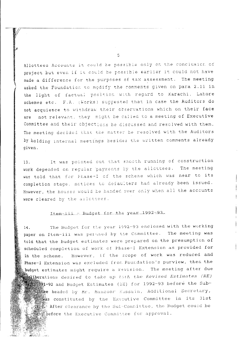Allottees Accounts it could be possible only on the conclusion of project but even if it could be possible earlier it could not have made a difference for the purposes of tax assessment. The meeting asked the Foundation to modify the comments given on para 2.11 in the light of factual position with regard to Karachi, Lahore schemes etc. F.A. (Works) suggested that in case the Auditors do not acquiesce to withdraw their observations which on their face not relevant, they might be called to a meeting of Executive are Committee and their objections be discussed and resolved with them. The meeting decided that the matter be resolved with the Auditors by holding internal meetings besides the written comments already given.

It was pointed out that smooth running of construction 13. work depended on regular payments by the allottees. The meeting was told that for Phase-I of the scheme which was near to its completion stage, notices to defaulters had already been issued. However, the houses would be handed over only when all the accounts were cleared by the allottees.

## Item-iii - Budget for the year 1992-93.

The Budget for the year 1992-93 enclosed with the working 14. paper on Item-iii was perused by the Committee. The meeting was told that the budget estimates were prepared on the presumption of scheduled completion of work of Phase-I Extension as provided for in the scheme. However, if the scope of work was reduced and Phase-I Extension was excluded from Foundation's purview, then the budget estimates might require a revision. The meeting after due deliberations desired to take up hoth the Revised Estimates (RE) 591-92 and Budget Estimates (EE) for 1992-93 before the Subthe beaded by Mr. Manzoor Hussain, Additional Secretary, was constituted by the Executive Committee in its 31st Software after clearance by the Sub-Committee, the Budget could be the Executive Committee for approval.

 $\overline{5}$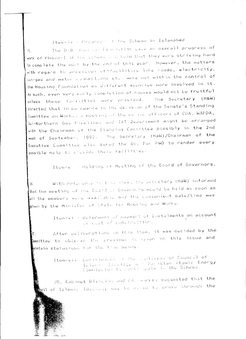Item-iv - Progress I the Scheme in Islamabad.

The 0.6. Hour buy foundation gave an overall progress of  $15.$ work of Phase-I of the scheme and told that they were striving hard to complete the work by the end of this year. However, the matters with regard to provision of sfacilities like roads, electricity, sui-gas and water connections etc. were not within the control of the Housing Foundation as different agencies were involved in it. As such, even very early completion of houses would not be fruitful unless these facilities were provided. The Sacretary (H&W) directed that in pursuance to the decision of the Senate's Standing Committee on Works, a meeting of the serior officers of CDA, WAPDA, Sui-Nonthern Gas Pipelines and IST Department might be arranged with the Chairman of the Standing Committee possibly in the 2nd week of September, 1992. The Secretary (H&W)/Chairman of the Executive Committee also asked the DG, Pak PWD to render every possible help to provide these facilities.

Item-v - Holding of Meeting of the Board of Governors.

With networkers to this steal the beeretary (H&W) informed ÌЪ. that the meeting of the Goard of Governors would be held as soon as all the members were available and the convenient date/time was siven by the Minister of State for Housing and Works.

> Itam-vi - Dafermant of payment of Instalments on account of cost of construction.

After deliberations on this item, it was decided by the Й7. committee to observe the previous delision on this issue and maintain status-quo for the trad being.

> Item-vil Entitlement of the Equipment Council of lahami: Iscolog, wit Paristan Atomic Energy Commission to pertilepate in the Scheme.

US, Cabinet Division and FA camis, suggested that the meil of Islamic Ideomoy may be assed to prove through the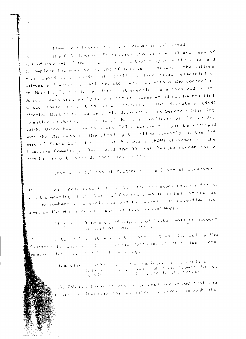Item-iv - Progress of the Scheme in Islamabad.

The D.G. Housing Foundation gave an overall progress of  $15.$ work of Phase-I of the scheme and told that they were striving hard to complete the work by the end of this year. However, the matters with regard to provision of facilities like roads, electricity, sui-gas and water connections etc. were not within the control of the Housing Foundation as different agencies were involved in it. As such, even very early completion of houses would not be fruitful unless these facilities were provided. The Secretary (H&W) directed that in pursuance to the decision of the Senate's Standing Committee on Works, a meeting of the senior officers of CDA, WAPDA, Sui-Nonthern Gas Pipelines and T&T Department might be arranged with the Chairman of the Standing Committee possibly in the 2nd week of September, 1992. The Secretary (H&W)/Chairman of the Executive Committee also asked the OG, Pak PWD to render every possible help to provide these facilities.

Item-v - Holding of Meeting of the Board of Governors.

With neference to this item. the Secretary (H&W) informed  $16.$ that the meeting of the Board of Governors would be held as soon as all the members were available and the convenient date/time was given by the Ministan of Slate for Riusing and Works.

> Item-vi - Deferment of paysent of Instalments on account of cust of construction.

After deliberations on this item, it was decided by the  $17<sub>1</sub>$ Committee to observe the previous decision on this issue and ,<br>∰maintain status-quo for the time being.

 $\label{eq:2} \mathcal{L}=\frac{1}{2}\sum_{i=1}^n\sum_{j=1}^n\sum_{j=1}^n\sum_{j=1}^n\sum_{j=1}^n\sum_{j=1}^n\sum_{j=1}^n\sum_{j=1}^n\sum_{j=1}^n\sum_{j=1}^n\sum_{j=1}^n\sum_{j=1}^n\sum_{j=1}^n\sum_{j=1}^n\sum_{j=1}^n\sum_{j=1}^n\sum_{j=1}^n\sum_{j=1}^n\sum_{j=1}^n\sum_{j=1}^n\sum_{j=1}^n\sum_{j=1}^n\sum_{$ 

Item-vil- Entitle-manuful the Employees of Council of laiami: Ideolog, and Paristan Atomic Energy<br>Commission to refti-ipate in the Scheme.

JS, Cabinet Division and TA (works) suggested that the of Islamic Ideology may be asked to prove through the

 $\mathcal{L}_{\mathcal{L}}$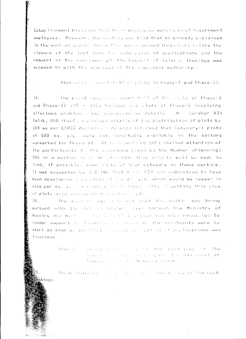Establishment Unvision that their employees were haden all Government employees. However, the meeting was told that as already explained in the worlding puber, the matter was caamined threathere before the closure of the last date for submission of applications and the request of the employees of the Council of Islamic leeplogy was acceded to with the approval of the competent authority.

Htem-viii - Short-fill of pluts in Phase-1 and Phase-11.

The point regarding short field of 981 plats of Phase-I  $19<sub>1</sub>$ and Phase-II (95 + 593) besides 210 plots of Phase-I involving affectees problems, wer closed in details. Mr. Sanshan Ali Malik, OSD (PalC) applained details of the distribution of plots by CDA as per ECNEC decision only also informed that Catagony-1 plots of 600 sq. yds. were not reportedly available in the sectors earmarked for Phase-II. At this point UG (BF) invited attention of the participants to the ausurance biven by the Member (Planning). CDA in a meeting hour on 19 (-199) that errorts will be made to find, if possible, some plats of that category in these sectors. It was suggested by J.S. (W) that strik (DA are understood to have been developing a was plota of focus, yes, which would be lesser in rate per sq. you we alight evolute bossilutive of getting this size of plots also alongwith the bull se wide

The mesting was note-med that the matter was being  $20.$ pursued with the CoA at higher laves through the Ministry of Housing and Workers the Contract of resident was also reguested to r render support to finance we used as the almotments were to stant as soon at vanificant and pay the cast on of applications was finalised.

> Item-i consumers to the source the during sees of the means of the same completely have the salary teacher of Industrial Land to the modeling Scheme

The mesting day of a fare in the stem to any of the next tings.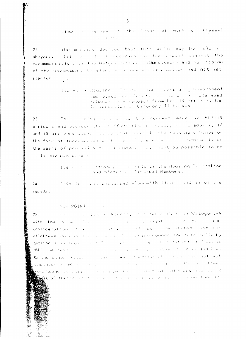Items - Review is the Boone of Work of Phase-I The Commission Commission

The meeting decided that this point may be held in  $22.$ abeyance till recent of decision an the appeal analost the recommendations of the Walger Montasht (Unbudeman) and permission of the Government to stand with nime construction had not yet started.

> Item-wi + Housing Schere for Pederal JGovernment Umployees on Junerabor Basis in Islamabad (Phisse-II) - Request from 8PS-19 officers for Iniiuntation of Cetegory-II Houses.

The meeting case dened the request made by 8PS-19  $23.$ officers and decided that infinitetion of houses (3) Grade-17, 18 and 19 officers abund not be considered in the running schemes on the face of fundamental citizens of the sunemerfue, senfority on the basis of programity to retimement. It anight be possible to do it in any new extence.

> Item-min - Hedinae, Membership of the Housing Foundation and States of Co-opted Members.

This item was discussed alongwith Item-i and ii of the  $24.$ agenda.

#### NEW POTAL

Mr. This evaluated a known processed member for Category-V  $25.$ with the parall line in the cross of count subset possity for consideration of depute above a soluted by water states that the allottees have paid include market to rooming roundation inter-alia by getting lead from the stift - The stationent for refund of loan to HBFC, he said is the me due of the country and the state portiod. On the other home, we see some a constrainting ever hold hot yet commenced of which is the community of the community and the first of the community were bound to safely hardsalve for layeart of inferest due to no With of the instruction of the continuation of state in the condition of  $\mathcal{H}_{\text{eff}}$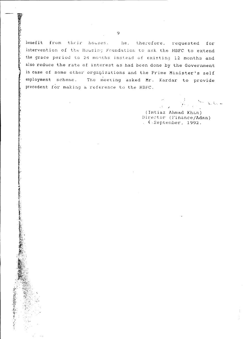benefit from their houses. the, therefore, requested for intervention of the Housing Foundation to ask the HBFC to extend the grace period to 24 months instead of existing 12 months and also reduce the rate of interest as had been done by the Government in case of some other organizations and the Prime Minister's self employment scheme. The meeting asked Mr. Kardar to provide precedent for making a reference to the HBFC.

, ,. **\....** '-- (Imtiaz Ahmad Kh&n) Director (Finance/Admn)

 $($  ( September, 1992.

9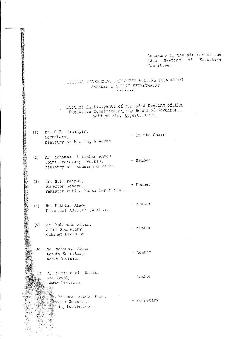Annexure to the Minutes of the 33rd Meeting of Executive Committee.

### FEDERAL GOVERNMENT ENPLOYEES HOUGING FOUNDATION SHAHEED-E-MILLAT SECRETARIAT  $\begin{array}{cccccccccccccc} \multicolumn{2}{c}{} & \multicolumn{2}{c}{} & \multicolumn{2}{c}{} & \multicolumn{2}{c}{} & \multicolumn{2}{c}{} & \multicolumn{2}{c}{} & \multicolumn{2}{c}{} & \multicolumn{2}{c}{} & \multicolumn{2}{c}{} & \multicolumn{2}{c}{} & \multicolumn{2}{c}{} & \multicolumn{2}{c}{} & \multicolumn{2}{c}{} & \multicolumn{2}{c}{} & \multicolumn{2}{c}{} & \multicolumn{2}{c}{} & \multicolumn{2}{c}{} & \multicolumn{2}{c}{} & \multicolumn{2}{c}{} & \$

List of Participants of the 33rd Meeting of the<br>Executive Committee of the Board of Governors held on 31st August, 1992.

 $(1)$  Mr. G.A. Jahangir, Secretary, Ministry of Housing & Works.

医科

(2) Mr. Mohammad Ittikhar Ahmad - hember Joint Secretary (Works), Ministry of Housing & Works.

 $(3)$  Mr. M.I. Rajput, - Member Director General, Pakistan Public Works Department,

- Member (4) Mr. Mukhtar Ahmad, Financial Adviser (Works).

(5) Mr. Muhammad Aslam. Joint Secretary, Cabinet Division.

Mr. Mohammad Abbas,  $(6)$ Deputy Secretary. Works Division.

والمتعادل متبعت

Mr. Sarshar Ali Maijk,  $(7)$ OSD (P&EC). Works Division,  $\frac{1}{2}$ 

> **Some Mohammad Rasool Khan, Exector General**, **Mousing Foundation.**

 $-$  In the Chair

- Member

- Member

Mended.

- Secretary